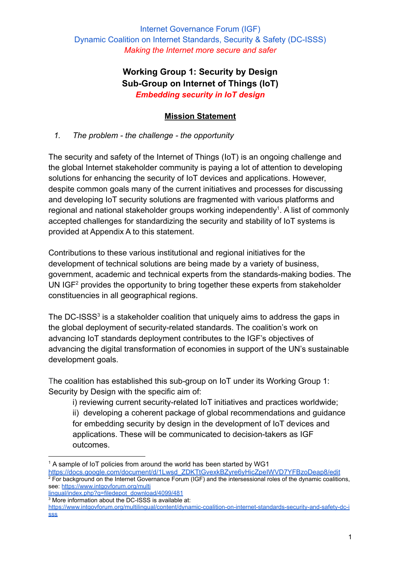## Internet Governance Forum (IGF) Dynamic Coalition on Internet Standards, Security & Safety (DC-ISSS) *Making the Internet more secure and safer*

## **Working Group 1: Security by Design Sub-Group on Internet of Things (IoT)** *Embedding security in IoT design*

## **Mission Statement**

*1. The problem - the challenge - the opportunity*

The security and safety of the Internet of Things (IoT) is an ongoing challenge and the global Internet stakeholder community is paying a lot of attention to developing solutions for enhancing the security of IoT devices and applications. However, despite common goals many of the current initiatives and processes for discussing and developing IoT security solutions are fragmented with various platforms and regional and national stakeholder groups working independently<sup>1</sup>. A list of commonly accepted challenges for standardizing the security and stability of IoT systems is provided at Appendix A to this statement.

Contributions to these various institutional and regional initiatives for the development of technical solutions are being made by a variety of business, government, academic and technical experts from the standards-making bodies. The UN IGF<sup>2</sup> provides the opportunity to bring together these experts from stakeholder constituencies in all geographical regions.

The DC-ISSS $3$  is a stakeholder coalition that uniquely aims to address the gaps in the global deployment of security-related standards. The coalition's work on advancing IoT standards deployment contributes to the IGF's objectives of advancing the digital transformation of economies in support of the UN's sustainable development goals.

The coalition has established this sub-group on IoT under its Working Group 1: Security by Design with the specific aim of:

i) reviewing current security-related IoT initiatives and practices worldwide;

ii) developing a coherent package of global recommendations and guidance for embedding security by design in the development of IoT devices and applications. These will be communicated to decision-takers as IGF outcomes.

 $3$  More information about the DC-ISSS is available at: lingual/index.php?q=filedepot\_download/4099/481

<sup>&</sup>lt;sup>1</sup> A sample of IoT policies from around the world has been started by WG1

 $2$  For background on the Internet Governance Forum (IGF) and the intersessional roles of the dynamic coalitions, see: https://www.intgovforum.org/multi https://docs.google.com/document/d/1Lwsd\_ZDKTtGvexkBZyre6yHicZpeIWVD7YFBzoDeap8/edit

https://www.intgovforum.org/multilingual/content/dynamic-coalition-on-internet-standards-security-and-safety-dc-i sss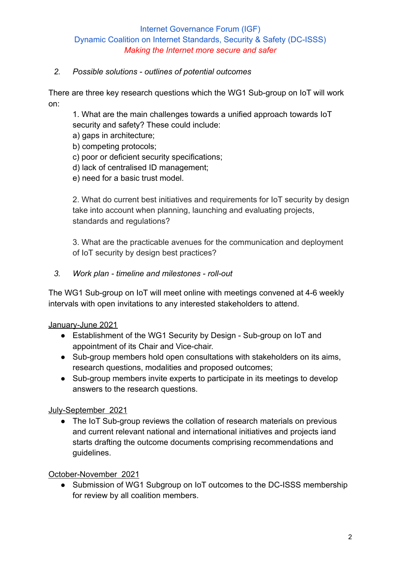## Internet Governance Forum (IGF) Dynamic Coalition on Internet Standards, Security & Safety (DC-ISSS) *Making the Internet more secure and safer*

#### *2. Possible solutions - outlines of potential outcomes*

There are three key research questions which the WG1 Sub-group on IoT will work on:

1. What are the main challenges towards a unified approach towards IoT security and safety? These could include:

- a) gaps in architecture;
- b) competing protocols;
- c) poor or deficient security specifications;
- d) lack of centralised ID management;
- e) need for a basic trust model.

2. What do current best initiatives and requirements for IoT security by design take into account when planning, launching and evaluating projects, standards and regulations?

3. What are the practicable avenues for the communication and deployment of IoT security by design best practices?

#### *3. Work plan - timeline and milestones - roll-out*

The WG1 Sub-group on IoT will meet online with meetings convened at 4-6 weekly intervals with open invitations to any interested stakeholders to attend.

#### January-June 2021

- Establishment of the WG1 Security by Design Sub-group on IoT and appointment of its Chair and Vice-chair.
- Sub-group members hold open consultations with stakeholders on its aims, research questions, modalities and proposed outcomes;
- Sub-group members invite experts to participate in its meetings to develop answers to the research questions.

#### July-September 2021

• The IoT Sub-group reviews the collation of research materials on previous and current relevant national and international initiatives and projects iand starts drafting the outcome documents comprising recommendations and guidelines.

## October-November 2021

• Submission of WG1 Subgroup on IoT outcomes to the DC-ISSS membership for review by all coalition members.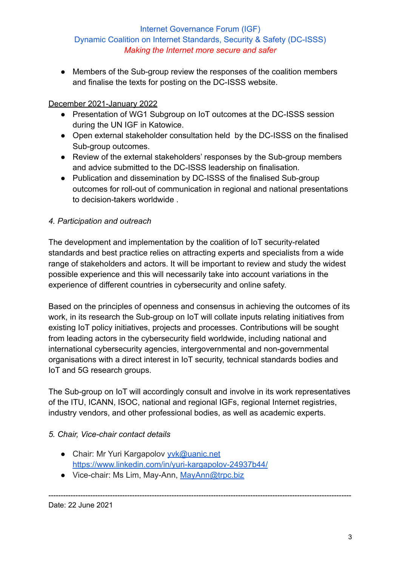## Internet Governance Forum (IGF) Dynamic Coalition on Internet Standards, Security & Safety (DC-ISSS) *Making the Internet more secure and safer*

• Members of the Sub-group review the responses of the coalition members and finalise the texts for posting on the DC-ISSS website.

## December 2021-January 2022

- Presentation of WG1 Subgroup on IoT outcomes at the DC-ISSS session during the UN IGF in Katowice.
- Open external stakeholder consultation held by the DC-ISSS on the finalised Sub-group outcomes.
- Review of the external stakeholders' responses by the Sub-group members and advice submitted to the DC-ISSS leadership on finalisation.
- Publication and dissemination by DC-ISSS of the finalised Sub-group outcomes for roll-out of communication in regional and national presentations to decision-takers worldwide .

## *4. Participation and outreach*

The development and implementation by the coalition of IoT security-related standards and best practice relies on attracting experts and specialists from a wide range of stakeholders and actors. It will be important to review and study the widest possible experience and this will necessarily take into account variations in the experience of different countries in cybersecurity and online safety.

Based on the principles of openness and consensus in achieving the outcomes of its work, in its research the Sub-group on IoT will collate inputs relating initiatives from existing IoT policy initiatives, projects and processes. Contributions will be sought from leading actors in the cybersecurity field worldwide, including national and international cybersecurity agencies, intergovernmental and non-governmental organisations with a direct interest in IoT security, technical standards bodies and IoT and 5G research groups.

The Sub-group on IoT will accordingly consult and involve in its work representatives of the ITU, ICANN, ISOC, national and regional IGFs, regional Internet registries, industry vendors, and other professional bodies, as well as academic experts.

## *5. Chair, Vice-chair contact details*

- Chair: Mr Yuri Kargapolov vvk@uanic.net https://www.linkedin.com/in/yuri-kargapolov-24937b44/
- Vice-chair: Ms Lim, Mav-Ann, MavAnn@trpc.biz